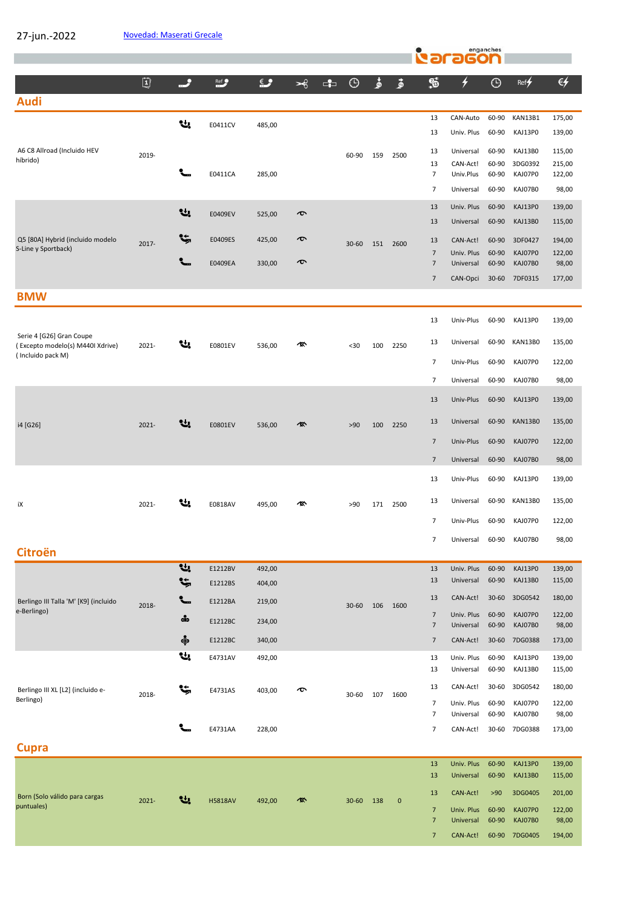27-jun.-2022

|                                                         |          |               |                |            |               |              |           |     |           |                                  | raragon                            | enganches      |                           |                  |
|---------------------------------------------------------|----------|---------------|----------------|------------|---------------|--------------|-----------|-----|-----------|----------------------------------|------------------------------------|----------------|---------------------------|------------------|
|                                                         | ①        | م             | $ext{Ref}$     | $\epsilon$ | $\rightarrow$ | $\mathbf{E}$ | $\odot$   | ٷ   | قى        | S                                | ≁                                  | $\odot$        | Ref                       | €ケ               |
| <b>Audi</b>                                             |          |               |                |            |               |              |           |     |           |                                  |                                    |                |                           |                  |
|                                                         |          | Ų,            | E0411CV        | 485,00     |               |              |           |     |           | 13                               | CAN-Auto                           | 60-90          | KAN13B1                   | 175,00           |
|                                                         |          |               |                |            |               |              |           |     |           | 13                               | Univ. Plus                         | 60-90          | KAJ13P0                   | 139,00           |
| A6 C8 Allroad (Incluido HEV<br>híbrido)                 | 2019-    |               |                |            |               |              | 60-90     | 159 | 2500      | 13                               | Universal                          | 60-90          | KAJ13B0                   | 115,00           |
|                                                         |          |               | E0411CA        | 285,00     |               |              |           |     |           | 13<br>$\overline{7}$             | CAN-Act!<br>Univ.Plus              | 60-90<br>60-90 | 3DG0392<br>KAJ07P0        | 215,00<br>122,00 |
|                                                         |          |               |                |            |               |              |           |     |           | 7                                | Universal                          | 60-90          | KAJ07B0                   | 98,00            |
|                                                         |          | Ų.            | E0409EV        | 525,00     | $\bm{\sigma}$ |              |           |     |           | 13                               | Univ. Plus                         | 60-90          | KAJ13P0                   | 139,00           |
|                                                         |          |               |                |            |               |              |           |     |           | 13                               | Universal                          | 60-90          | KAJ13B0                   | 115,00           |
| Q5 [80A] Hybrid (incluido modelo<br>S-Line y Sportback) | $2017 -$ | ۴,            | E0409ES        | 425,00     | $\bm{\sigma}$ |              | $30 - 60$ | 151 | 2600      | 13                               | CAN-Act!                           | 60-90          | 3DF0427                   | 194,00           |
|                                                         |          |               | <b>E0409EA</b> | 330,00     | $\bm{\sigma}$ |              |           |     |           | $\overline{7}$<br>$\overline{7}$ | Univ. Plus<br>Universal            | 60-90<br>60-90 | KAJ07P0<br>KAJ07B0        | 122,00<br>98,00  |
|                                                         |          |               |                |            |               |              |           |     |           | $\overline{7}$                   | CAN-Opci                           | $30 - 60$      | 7DF0315                   | 177,00           |
| <b>BMW</b>                                              |          |               |                |            |               |              |           |     |           |                                  |                                    |                |                           |                  |
|                                                         |          |               |                |            |               |              |           |     |           | 13                               | Univ-Plus                          | 60-90          | KAJ13P0                   | 139,00           |
| Serie 4 [G26] Gran Coupe                                |          |               |                |            |               |              |           |     |           |                                  |                                    |                | KAN13B0                   |                  |
| (Excepto modelo(s) M440I Xdrive)<br>(Incluido pack M)   | 2021-    | 낸             | E0801EV        | 536,00     | 像             |              | $30$      | 100 | 2250      | 13                               | Universal                          | 60-90          |                           | 135,00           |
|                                                         |          |               |                |            |               |              |           |     |           | $\overline{\phantom{a}}$         | Univ-Plus                          | 60-90          | KAJ07P0                   | 122,00           |
|                                                         |          |               |                |            |               |              |           |     |           | $\overline{7}$                   | Universal                          | 60-90          | KAJ07B0                   | 98,00            |
|                                                         |          |               |                |            |               |              |           |     |           | 13                               | Univ-Plus                          | 60-90          | KAJ13P0                   | 139,00           |
| i4 [G26]                                                | $2021 -$ | 낸.            | E0801EV        | 536,00     | 硺             |              | >90       | 100 | 2250      | 13                               | Universal                          | 60-90          | KAN13B0                   | 135,00           |
|                                                         |          |               |                |            |               |              |           |     |           | $\overline{7}$                   | Univ-Plus                          | 60-90          | KAJ07P0                   | 122,00           |
|                                                         |          |               |                |            |               |              |           |     |           | $\overline{7}$                   | Universal                          | 60-90          | KAJ07B0                   | 98,00            |
|                                                         |          |               |                |            |               |              |           |     |           | 13                               | Univ-Plus                          | 60-90          | KAJ13P0                   | 139,00           |
|                                                         | 2021-    | સ્ત્ર         |                |            | ⁄®            |              | >90       |     |           | 13                               | Universal                          | 60-90          | KAN13B0                   | 135,00           |
| iΧ                                                      |          |               | E0818AV        | 495,00     |               |              |           |     | 171 2500  | 7                                | Univ-Plus                          | 60-90          | KAJ07P0                   | 122,00           |
|                                                         |          |               |                |            |               |              |           |     |           | $\overline{7}$                   | Universal                          | 60-90          | KAJ07B0                   | 98,00            |
| <b>Citroën</b>                                          |          |               |                |            |               |              |           |     |           |                                  |                                    |                |                           |                  |
|                                                         |          | t,            | E1212BV        | 492,00     |               |              |           |     |           | 13                               | Univ. Plus                         | 60-90          | KAJ13P0                   | 139,00           |
|                                                         |          | <b>پ</b>      | E1212BS        | 404,00     |               |              |           |     |           | 13                               | Universal                          | 60-90          | KAJ13B0                   | 115,00           |
| Berlingo III Talla 'M' [K9] (incluido<br>e-Berlingo)    | 2018-    |               | E1212BA        | 219,00     |               |              | $30 - 60$ | 106 | 1600      | 13                               | CAN-Act!                           | $30 - 60$      | 3DG0542                   | 180,00           |
|                                                         |          | $\frac{1}{2}$ | E1212BC        | 234,00     |               |              |           |     |           | $\overline{7}$<br>$\overline{7}$ | Univ. Plus<br>Universal            | 60-90<br>60-90 | KAJ07P0<br>KAJ07B0        | 122,00<br>98,00  |
|                                                         |          | ஒ்            | E1212BC        | 340,00     |               |              |           |     |           | $\overline{7}$                   | CAN-Act!                           | $30 - 60$      | 7DG0388                   | 173,00           |
|                                                         |          | Ų,            | E4731AV        | 492,00     |               |              |           |     |           | 13                               | Univ. Plus                         | 60-90          | KAJ13P0                   | 139,00           |
|                                                         |          |               |                |            |               |              |           |     |           | 13                               | Universal                          | 60-90          | KAJ13B0                   | 115,00           |
| Berlingo III XL [L2] (incluido e-<br>Berlingo)          | 2018-    | <b>پ</b>      | E4731AS        | 403,00     | ᠊ᢐ            |              | 30-60     | 107 | 1600      | 13                               | CAN-Act!                           | 30-60          | 3DG0542                   | 180,00           |
|                                                         |          |               |                |            |               |              |           |     |           | $\overline{7}$<br>7              | Univ. Plus<br>Universal            | 60-90<br>60-90 | KAJ07P0<br>KAJ07B0        | 122,00<br>98,00  |
|                                                         |          |               | E4731AA        | 228,00     |               |              |           |     |           | 7                                | CAN-Act!                           | 30-60          | 7DG0388                   | 173,00           |
| <b>Cupra</b>                                            |          |               |                |            |               |              |           |     |           |                                  |                                    |                |                           |                  |
|                                                         |          |               |                |            |               |              |           |     |           | 13<br>13                         | Univ. Plus                         | 60-90<br>60-90 | KAJ13P0<br><b>KAJ13B0</b> | 139,00           |
|                                                         |          |               |                |            |               |              |           |     |           | 13                               | Universal<br>CAN-Act!              | >90            | 3DG0405                   | 115,00<br>201,00 |
| Born (Solo válido para cargas<br>puntuales)             | $2021 -$ | સ્તુ          | <b>H5818AV</b> | 492,00     | 倻             |              | $30 - 60$ | 138 | $\pmb{0}$ | $\overline{7}$                   | $IIniv$ $DInc$ $60-90$ $KAD7$ $D0$ |                |                           | 12200            |

7 Universal 60-90 KAJ07B0 98,00 7 CAN-Act! 60-90 7DG0405 194,00 7 Univ. Plus 60-90 KAJ07P0 122,00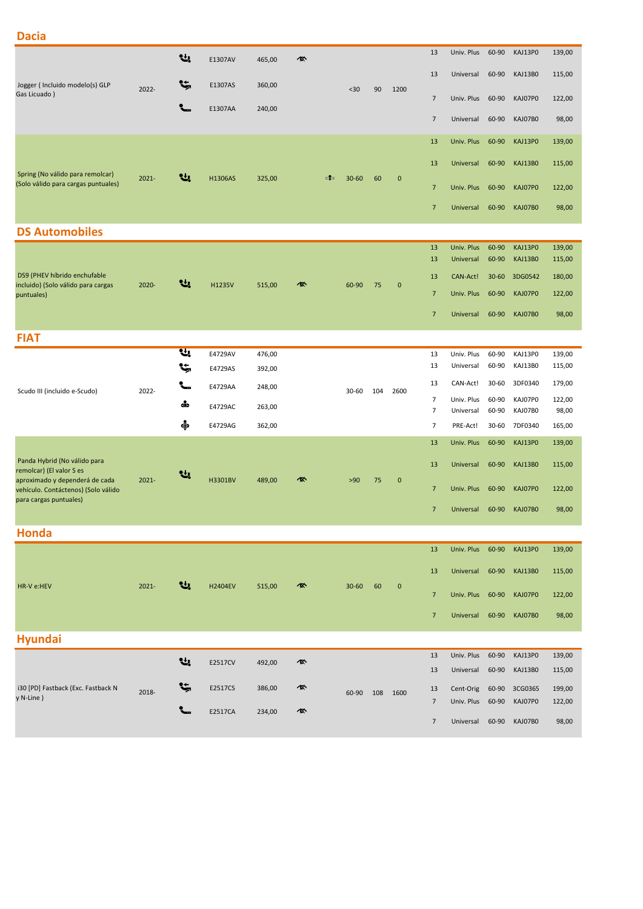# **Dacia**

|                                                                         |          | ᆊ        | E1307AV        | 465,00 | 硺 |    |           |     |             | 13                               | Univ. Plus              | 60-90          | KAJ13P0            | 139,00          |
|-------------------------------------------------------------------------|----------|----------|----------------|--------|---|----|-----------|-----|-------------|----------------------------------|-------------------------|----------------|--------------------|-----------------|
| Jogger (Incluido modelo(s) GLP                                          |          | <b>پ</b> | E1307AS        | 360,00 |   |    |           |     |             | 13                               | Universal               | 60-90          | KAJ13B0            | 115,00          |
| Gas Licuado)                                                            | 2022-    |          | E1307AA        | 240,00 |   |    | $30$      | 90  | 1200        | $\overline{7}$                   | Univ. Plus              | 60-90          | KAJ07P0            | 122,00          |
|                                                                         |          |          |                |        |   |    |           |     |             | $\overline{7}$                   | Universal               | 60-90          | KAJ07B0            | 98,00           |
|                                                                         |          |          |                |        |   |    |           |     |             | 13                               | Univ. Plus              | 60-90          | <b>KAJ13P0</b>     | 139,00          |
|                                                                         |          |          |                |        |   |    |           |     |             | 13                               | Universal               | 60-90          | <b>KAJ13B0</b>     | 115,00          |
| Spring (No válido para remolcar)<br>(Solo válido para cargas puntuales) | $2021 -$ | 샋        | H1306AS        | 325,00 |   | -6 | $30 - 60$ | 60  | $\mathbf 0$ | $\overline{7}$                   | Univ. Plus              | 60-90          | KAJ07P0            | 122,00          |
|                                                                         |          |          |                |        |   |    |           |     |             | $\overline{7}$                   | Universal               | 60-90          | KAJ07B0            | 98,00           |
| <b>DS Automobiles</b>                                                   |          |          |                |        |   |    |           |     |             |                                  |                         |                |                    |                 |
|                                                                         |          |          |                |        |   |    |           |     |             | 13                               | Univ. Plus              | 60-90          | KAJ13P0            | 139,00          |
|                                                                         |          |          |                |        |   |    |           |     |             | 13                               | Universal               | 60-90          | <b>KAJ13B0</b>     | 115,00          |
| DS9 (PHEV híbrido enchufable                                            |          |          |                |        |   |    |           |     |             | 13                               | CAN-Act!                | $30 - 60$      | 3DG0542            | 180,00          |
| incluido) (Solo válido para cargas                                      | 2020-    | સ્ત્ર    | H1235V         | 515,00 | 您 |    | 60-90     | 75  | $\mathbf 0$ |                                  |                         |                | KAJ07P0            |                 |
| puntuales)                                                              |          |          |                |        |   |    |           |     |             | $\overline{7}$                   | Univ. Plus              | 60-90          |                    | 122,00          |
|                                                                         |          |          |                |        |   |    |           |     |             | $\overline{7}$                   | Universal               | 60-90          | KAJ07B0            | 98,00           |
| <b>FIAT</b>                                                             |          |          |                |        |   |    |           |     |             |                                  |                         |                |                    |                 |
|                                                                         |          | स्र      | E4729AV        | 476,00 |   |    |           |     |             | 13                               | Univ. Plus              | 60-90          | KAJ13P0            | 139,00          |
|                                                                         |          | t,       | E4729AS        | 392,00 |   |    |           |     |             | 13                               | Universal               | 60-90          | KAJ13B0            | 115,00          |
| Scudo III (incluido e-Scudo)                                            | 2022-    | ╰╴       | E4729AA        | 248,00 |   |    | 30-60     | 104 | 2600        | 13                               | CAN-Act!                | $30 - 60$      | 3DF0340            | 179,00          |
|                                                                         |          | dip      | E4729AC        | 263,00 |   |    |           |     |             | $\overline{7}$<br>$\overline{7}$ | Univ. Plus<br>Universal | 60-90<br>60-90 | KAJ07P0<br>KAJ07B0 | 122,00<br>98,00 |
|                                                                         |          | ÷        | E4729AG        | 362,00 |   |    |           |     |             | $\overline{7}$                   | PRE-Act!                | $30 - 60$      | 7DF0340            | 165,00          |
|                                                                         |          |          |                |        |   |    |           |     |             | 13                               | Univ. Plus              | 60-90          | KAJ13P0            | 139,00          |
| Panda Hybrid (No válido para<br>remolcar) (El valor S es                |          | 엔.       |                |        |   |    |           |     |             | 13                               | Universal               | 60-90          | <b>KAJ13B0</b>     | 115,00          |
| aproximado y dependerá de cada<br>vehículo. Contáctenos) (Solo válido   | $2021 -$ |          | H3301BV        | 489,00 |   |    | >90       | 75  | $\mathbf 0$ | $7\overline{ }$                  | Univ. Plus              | 60-90          | KAJ07P0            | 122,00          |
| para cargas puntuales)                                                  |          |          |                |        |   |    |           |     |             | $\overline{7}$                   | Universal               | 60-90          | <b>KAJ07B0</b>     | 98,00           |
| <b>Honda</b>                                                            |          |          |                |        |   |    |           |     |             |                                  |                         |                |                    |                 |
|                                                                         |          |          |                |        |   |    |           |     |             |                                  |                         |                |                    |                 |
|                                                                         |          |          |                |        |   |    |           |     |             | 13                               | Univ. Plus              | 60-90          | KAJ13P0            | 139,00          |
| HR-V e:HEV                                                              | 2021-    | ₩.       | <b>H2404EV</b> | 515,00 | 硺 |    | $30 - 60$ | 60  | $\pmb{0}$   | 13                               | Universal               | 60-90          | <b>KAJ13B0</b>     | 115,00          |
|                                                                         |          |          |                |        |   |    |           |     |             | $\overline{7}$                   | Univ. Plus              | 60-90          | KAJ07P0            | 122,00          |
|                                                                         |          |          |                |        |   |    |           |     |             | $\overline{7}$                   | Universal               | 60-90          | <b>KAJ07B0</b>     | 98,00           |
| <b>Hyundai</b>                                                          |          |          |                |        |   |    |           |     |             |                                  |                         |                |                    |                 |
|                                                                         |          | 낸.       |                |        |   |    |           |     |             | 13                               | Univ. Plus              | 60-90          | KAJ13P0            | 139,00          |
|                                                                         |          |          | E2517CV        | 492,00 | 硺 |    |           |     |             | 13                               | Universal               | 60-90          | KAJ13B0            | 115,00          |
| i30 [PD] Fastback (Exc. Fastback N                                      | 2018-    | <b>پ</b> | E2517CS        | 386,00 | 硺 |    | 60-90     | 108 | 1600        | 13                               | Cent-Orig               | 60-90          | 3CG0365            | 199,00          |
| y N-Line)                                                               |          |          |                |        |   |    |           |     |             | $\overline{7}$                   | Univ. Plus              | 60-90          | KAJ07P0            | 122,00          |
|                                                                         |          |          | E2517CA        | 234,00 | 硺 |    |           |     |             | $\overline{7}$                   | Universal               | 60-90          | KAJ07B0            | 98,00           |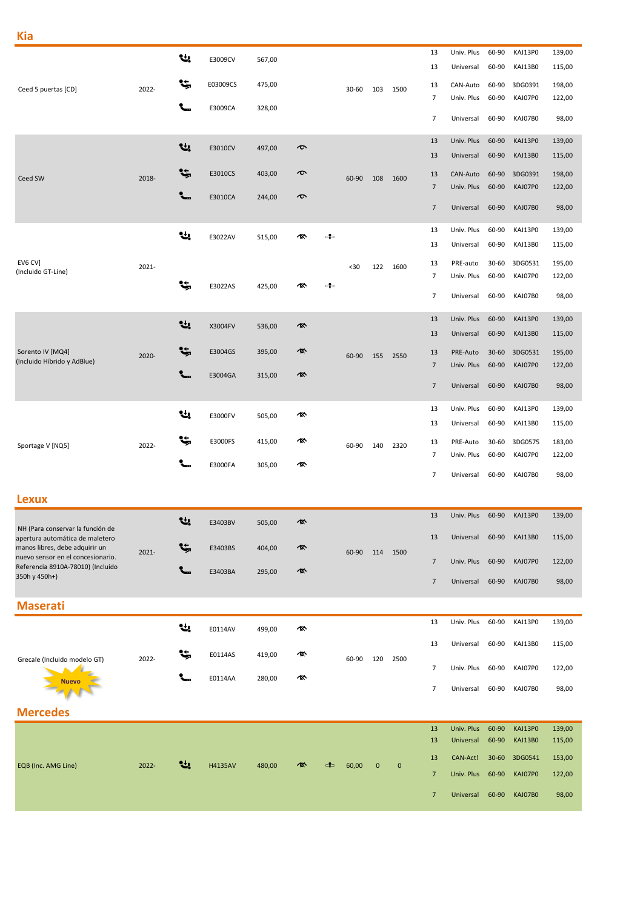|                                                                                                       |       | 낸        | E3009CV        | 567,00 |                       |    |       |             |              | 13              | Univ. Plus              | 60-90          | KAJ13P0            | 139,00           |
|-------------------------------------------------------------------------------------------------------|-------|----------|----------------|--------|-----------------------|----|-------|-------------|--------------|-----------------|-------------------------|----------------|--------------------|------------------|
|                                                                                                       |       | ۴,       | E03009CS       | 475,00 |                       |    |       |             |              | 13<br>13        | Universal<br>CAN-Auto   | 60-90<br>60-90 | KAJ13B0<br>3DG0391 | 115,00<br>198,00 |
| Ceed 5 puertas [CD]                                                                                   | 2022- |          |                |        |                       |    | 30-60 | 103         | 1500         | $\overline{7}$  | Univ. Plus              | 60-90          | KAJ07P0            | 122,00           |
|                                                                                                       |       | ╰╴       | E3009CA        | 328,00 |                       |    |       |             |              | $\overline{7}$  | Universal               | 60-90          | KAJ07B0            | 98,00            |
|                                                                                                       |       |          |                |        |                       |    |       |             |              | 13              | Univ. Plus              | 60-90          | KAJ13P0            | 139,00           |
|                                                                                                       |       | 년,       | E3010CV        | 497,00 | $\boldsymbol{\sigma}$ |    |       |             |              | 13              | Universal               | 60-90          | KAJ13B0            | 115,00           |
| Ceed SW                                                                                               | 2018- | <b>پ</b> | E3010CS        | 403,00 | $\bm{\sigma}$         |    | 60-90 | 108         | 1600         | 13              | CAN-Auto                | 60-90          | 3DG0391            | 198,00           |
|                                                                                                       |       | ╰╴       | E3010CA        | 244,00 | $\bm{\sigma}$         |    |       |             |              | $\overline{7}$  | Univ. Plus              | 60-90          | KAJ07P0            | 122,00           |
|                                                                                                       |       |          |                |        |                       |    |       |             |              | $\overline{7}$  | Universal               | 60-90          | KAJ07B0            | 98,00            |
|                                                                                                       |       | ų,       | E3022AV        | 515,00 | ∕፠                    | ь  |       |             |              | 13              | Univ. Plus              | 60-90          | KAJ13P0            | 139,00           |
|                                                                                                       |       |          |                |        |                       |    |       |             |              | 13              | Universal               | 60-90          | KAJ13B0            | 115,00           |
| EV6 CV]<br>(Incluido GT-Line)                                                                         | 2021- |          |                |        |                       |    | $30$  | 122         | 1600         | 13<br>7         | PRE-auto<br>Univ. Plus  | 30-60<br>60-90 | 3DG0531<br>KAJ07P0 | 195,00<br>122,00 |
|                                                                                                       |       | ٩ţ,      | E3022AS        | 425,00 | 凰                     | ≏  |       |             |              | $\overline{7}$  | Universal               | 60-90          | KAJ07B0            | 98,00            |
|                                                                                                       |       |          |                |        |                       |    |       |             |              |                 |                         |                |                    |                  |
|                                                                                                       |       | 낸        | X3004FV        | 536,00 | 凰                     |    |       |             |              | 13<br>13        | Univ. Plus<br>Universal | 60-90<br>60-90 | KAJ13P0<br>KAJ13B0 | 139,00<br>115,00 |
| Sorento IV [MQ4]                                                                                      | 2020- | <b>پ</b> | E3004GS        | 395,00 | 像                     |    |       |             |              | 13              | PRE-Auto                | $30 - 60$      | 3DG0531            | 195,00           |
| (Incluido Híbrido y AdBlue)                                                                           |       | ╰╴       |                |        | 硺                     |    | 60-90 | 155         | 2550         | $\overline{7}$  | Univ. Plus              | 60-90          | KAJ07P0            | 122,00           |
|                                                                                                       |       |          | E3004GA        | 315,00 |                       |    |       |             |              | $\overline{7}$  | Universal               | 60-90          | KAJ07B0            | 98,00            |
|                                                                                                       |       | ų,       |                |        |                       |    |       |             |              | 13              | Univ. Plus              | 60-90          | KAJ13P0            | 139,00           |
|                                                                                                       |       |          | E3000FV        | 505,00 | 硺                     |    |       |             |              | 13              | Universal               | 60-90          | KAJ13B0            | 115,00           |
| Sportage V [NQ5]                                                                                      | 2022- | ۴,       | E3000FS        | 415,00 | 凰                     |    | 60-90 | 140         | 2320         | 13              | PRE-Auto                | $30 - 60$      | 3DG0575            | 183,00           |
|                                                                                                       |       |          | E3000FA        | 305,00 | 硺                     |    |       |             |              | 7               | Univ. Plus              | 60-90          | KAJ07P0            | 122,00           |
|                                                                                                       |       |          |                |        |                       |    |       |             |              | $\overline{7}$  | Universal               | 60-90          | KAJ07B0            | 98,00            |
| <b>Lexux</b>                                                                                          |       |          |                |        |                       |    |       |             |              |                 |                         |                |                    |                  |
|                                                                                                       |       | Ų,       | E3403BV        | 505,00 | 凰                     |    |       |             |              | 13              | Univ. Plus              | 60-90          | KAJ13P0            | 139,00           |
| NH (Para conservar la función de<br>apertura automática de maletero<br>manos libres, debe adquirir un |       |          | E3403BS        |        | 硺                     |    |       |             |              | 13              | Universal               | 60-90          | KAJ13B0            | 115,00           |
| nuevo sensor en el concesionario.<br>Referencia 8910A-78010) (Incluido                                | 2021- |          |                | 404,00 |                       |    | 60-90 | 114         | 1500         | $\overline{7}$  | Univ. Plus              | 60-90          | KAJ07P0            | 122,00           |
| 350h y 450h+)                                                                                         |       |          | E3403BA        | 295,00 | 硺                     |    |       |             |              | $\overline{7}$  | Universal               | 60-90          | KAJ07B0            | 98,00            |
| <b>Maserati</b>                                                                                       |       |          |                |        |                       |    |       |             |              |                 |                         |                |                    |                  |
|                                                                                                       |       |          |                |        |                       |    |       |             |              | 13              | Univ. Plus              | 60-90          | KAJ13P0            | 139,00           |
|                                                                                                       |       | ų,       | E0114AV        | 499,00 | 凰                     |    |       |             |              | 13              | Universal               | 60-90          | KAJ13B0            | 115,00           |
| Grecale (Incluido modelo GT)                                                                          | 2022- | ۴,       | E0114AS        | 419,00 | 凰                     |    | 60-90 | 120         | 2500         |                 |                         |                |                    |                  |
| <b>Nuevo</b>                                                                                          |       |          | E0114AA        | 280,00 | 硺                     |    |       |             |              | $\overline{7}$  | Univ. Plus              | 60-90          | KAJ07P0            | 122,00           |
|                                                                                                       |       |          |                |        |                       |    |       |             |              | $\overline{7}$  | Universal               | 60-90          | KAJ07B0            | 98,00            |
| <b>Mercedes</b>                                                                                       |       |          |                |        |                       |    |       |             |              |                 |                         |                |                    |                  |
|                                                                                                       |       |          |                |        |                       |    |       |             |              | 13<br>13        | Univ. Plus<br>Universal | 60-90<br>60-90 | KAJ13P0<br>KAJ13B0 | 139,00<br>115,00 |
|                                                                                                       |       |          |                |        |                       |    |       |             |              | 13              | CAN-Act!                | $30 - 60$      | 3DG0541            | 153,00           |
| EQB (Inc. AMG Line)                                                                                   | 2022- | 낸.       | <b>H4135AV</b> | 480,00 |                       | ⊄⊐ | 60,00 | $\mathbf 0$ | $\mathbf{0}$ | $7\phantom{.0}$ | Univ. Plus              | 60-90          | KAJ07P0            | 122,00           |
|                                                                                                       |       |          |                |        |                       |    |       |             |              | $\overline{7}$  | Universal               | 60-90          | KAJ07B0            | 98,00            |
|                                                                                                       |       |          |                |        |                       |    |       |             |              |                 |                         |                |                    |                  |

**Kia**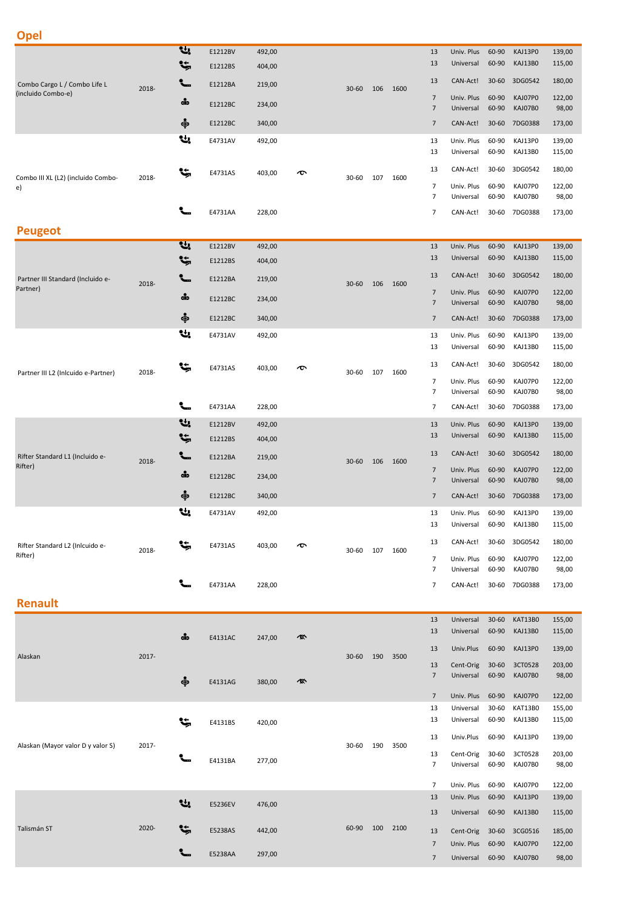| .,<br>×<br>$\sim$ | I<br>P. | ٠<br>__ |  |
|-------------------|---------|---------|--|
|                   |         |         |  |

| oper                                       |                 |               |         |        |    |           |     |      |                                  |                         |                    |                    |                  |
|--------------------------------------------|-----------------|---------------|---------|--------|----|-----------|-----|------|----------------------------------|-------------------------|--------------------|--------------------|------------------|
|                                            |                 | u,            | E1212BV | 492,00 |    |           |     |      | 13                               | Univ. Plus              | 60-90              | KAJ13P0            | 139,00           |
|                                            |                 | <b>پ</b>      | E1212BS | 404,00 |    |           |     |      | 13                               | Universal               | 60-90              | KAJ13B0            | 115,00           |
| Combo Cargo L / Combo Life L               | 2018-           | ╰╴            | E1212BA | 219,00 |    | $30 - 60$ | 106 | 1600 | 13                               | CAN-Act!                | $30 - 60$          | 3DG0542            | 180,00           |
| (incluido Combo-e)                         |                 | $\frac{1}{2}$ | E1212BC | 234,00 |    |           |     |      | $\overline{7}$<br>$\overline{7}$ | Univ. Plus<br>Universal | 60-90<br>60-90     | KAJ07P0<br>KAJ07B0 | 122,00<br>98,00  |
|                                            |                 | ஒ்            | E1212BC | 340,00 |    |           |     |      | $\overline{7}$                   | CAN-Act!                | $30 - 60$          | 7DG0388            | 173,00           |
|                                            |                 | ų,            |         |        |    |           |     |      |                                  | Univ. Plus              |                    |                    |                  |
|                                            |                 |               | E4731AV | 492,00 |    |           |     |      | 13<br>13                         | Universal               | 60-90<br>60-90     | KAJ13P0<br>KAJ13B0 | 139,00<br>115,00 |
|                                            |                 | ٩ţ,           | E4731AS |        |    |           |     |      | 13                               | CAN-Act!                | 30-60              | 3DG0542            | 180,00           |
| Combo III XL (L2) (incluido Combo-<br>e)   | 2018-           |               |         | 403,00 | ᠊ᠥ | 30-60     | 107 | 1600 | $\overline{7}$                   | Univ. Plus              | 60-90              | KAJ07P0            | 122,00           |
|                                            |                 |               |         |        |    |           |     |      | $\overline{7}$                   | Universal               | 60-90              | KAJ07B0            | 98,00            |
|                                            |                 |               | E4731AA | 228,00 |    |           |     |      | $\overline{7}$                   | CAN-Act!                | 30-60              | 7DG0388            | 173,00           |
| <b>Peugeot</b>                             |                 |               |         |        |    |           |     |      |                                  |                         |                    |                    |                  |
|                                            |                 | u,            | E1212BV | 492,00 |    |           |     |      | 13                               | Univ. Plus              | 60-90              | KAJ13P0            | 139,00           |
|                                            |                 | ۴,            | E1212BS | 404,00 |    |           |     |      | 13                               | Universal               | 60-90              | KAJ13B0            | 115,00           |
| Partner III Standard (Incluido e-          | 2018-           |               | E1212BA | 219,00 |    | $30 - 60$ | 106 | 1600 | 13                               | CAN-Act!                | $30 - 60$          | 3DG0542            | 180,00           |
| Partner)                                   |                 | dip           | E1212BC | 234,00 |    |           |     |      | $\overline{7}$<br>$\overline{7}$ | Univ. Plus<br>Universal | 60-90<br>60-90     | KAJ07P0<br>KAJ07B0 | 122,00<br>98,00  |
|                                            |                 | ஒ்            | E1212BC | 340,00 |    |           |     |      | $\overline{7}$                   | CAN-Act!                | $30 - 60$          | 7DG0388            | 173,00           |
|                                            |                 | ų,            | E4731AV | 492,00 |    |           |     |      | 13                               | Univ. Plus              | 60-90              | KAJ13P0            | 139,00           |
|                                            |                 |               |         |        |    |           |     |      | 13                               | Universal               | 60-90              | KAJ13B0            | 115,00           |
|                                            |                 | ٩ţ,           | E4731AS | 403,00 | ᠊ᠥ |           |     |      | 13                               | CAN-Act!                | 30-60              | 3DG0542            | 180,00           |
| Partner III L2 (Inlcuido e-Partner)        | 2018-           |               |         |        |    | 30-60     | 107 | 1600 | $\overline{7}$                   | Univ. Plus              | 60-90              | KAJ07P0            | 122,00           |
|                                            |                 |               |         |        |    |           |     |      | $\overline{7}$                   | Universal               | 60-90              | KAJ07B0            | 98,00            |
|                                            |                 |               | E4731AA | 228,00 |    |           |     |      | $\overline{7}$                   | CAN-Act!                | 30-60              | 7DG0388            | 173,00           |
|                                            |                 | Ų,            | E1212BV | 492,00 |    |           |     |      | 13                               | Univ. Plus              | 60-90              | KAJ13P0            | 139,00           |
|                                            |                 | ۴,            | E1212BS | 404,00 |    |           |     | 1600 | 13                               | Universal               | 60-90              | KAJ13B0            | 115,00           |
| Rifter Standard L1 (Incluido e-<br>Rifter) | $\sim$<br>2018- |               | E1212BA | 219,00 |    | $30 - 60$ | 106 |      | 13                               | CAN-Act!                | $30 - 60$          | 3DG0542            | 180,00           |
|                                            |                 | dip           | E1212BC | 234,00 |    |           |     |      | $\overline{7}$<br>$\overline{7}$ | Univ. Plus<br>Universal | 60-90<br>60-90     | KAJ07P0<br>KAJ07B0 | 122,00<br>98,00  |
|                                            |                 | ஒ்            | E1212BC | 340,00 |    |           |     |      | $\overline{7}$                   | CAN-Act!                | $30 - 60$          | 7DG0388            | 173,00           |
|                                            |                 | L.            | E4731AV | 492,00 |    |           |     |      | 13                               | Univ. Plus              | 60-90              | KAJ13P0            | 139,00           |
|                                            |                 |               |         |        |    |           |     |      | 13                               | Universal               | 60-90              | KAJ13B0            | 115,00           |
| Rifter Standard L2 (Inlcuido e-            |                 | ড             | E4731AS | 403,00 | ᠊ᢐ |           |     |      | 13                               | CAN-Act!                | 30-60              | 3DG0542            | 180,00           |
| Rifter)                                    | 2018-           |               |         |        |    | 30-60     | 107 | 1600 | $\overline{7}$                   | Univ. Plus              | 60-90              | KAJ07P0            | 122,00           |
|                                            |                 |               |         |        |    |           |     |      | 7                                | Universal               | 60-90              | KAJ07B0            | 98,00            |
|                                            |                 |               | E4731AA | 228,00 |    |           |     |      | 7                                | CAN-Act!                | 30-60              | 7DG0388            | 173,00           |
| <b>Renault</b>                             |                 |               |         |        |    |           |     |      |                                  |                         |                    |                    |                  |
|                                            |                 |               |         |        |    |           |     |      | 13<br>13                         | Universal<br>Universal  | $30 - 60$<br>60-90 | KAT13B0<br>KAJ13B0 | 155,00<br>115,00 |
|                                            |                 | $\frac{1}{2}$ | E4131AC | 247,00 | 硺  |           |     |      | 13                               | Univ.Plus               | 60-90              | KAJ13P0            | 139,00           |
| Alaskan                                    | 2017-           |               |         |        |    | 30-60     | 190 | 3500 |                                  |                         |                    |                    |                  |
|                                            |                 | ஒ             |         |        | 硺  |           |     |      | 13<br>$\overline{7}$             | Cent-Orig<br>Universal  | $30 - 60$<br>60-90 | 3CT0528<br>KAJ07B0 | 203,00<br>98,00  |
|                                            |                 |               | E4131AG | 380,00 |    |           |     |      | $\overline{7}$                   | Univ. Plus              | 60-90              | KAJ07P0            | 122,00           |
|                                            |                 |               |         |        |    |           |     |      | 13                               | Universal               | 30-60              | KAT13B0            | 155,00           |
|                                            |                 |               | E4131BS | 420,00 |    |           |     |      | 13                               | Universal               | 60-90              | KAJ13B0            | 115,00           |
| Alaskan (Mayor valor D y valor S)          | 2017-           |               |         |        |    | 30-60     | 190 | 3500 | 13                               | Univ.Plus               | 60-90              | KAJ13P0            | 139,00           |
|                                            |                 |               | E4131BA | 277,00 |    |           |     |      | 13                               | Cent-Orig               | 30-60              | 3CT0528            | 203,00           |
|                                            |                 |               |         |        |    |           |     |      | $\overline{7}$                   | Universal               | 60-90              | KAJ07B0            | 98,00            |
|                                            |                 |               |         |        |    |           |     |      | $\overline{7}$                   | Univ. Plus              | 60-90              | KAJ07P0            | 122,00           |
|                                            |                 | u             | E5236EV | 476,00 |    |           |     |      | 13<br>13                         | Univ. Plus<br>Universal | 60-90<br>60-90     | KAJ13P0<br>KAJ13B0 | 139,00<br>115,00 |
| Talismán ST                                | 2020-           |               |         |        |    | 60-90     | 100 | 2100 |                                  |                         |                    |                    |                  |
|                                            |                 | ۹ŧ,           | E5238AS | 442,00 |    |           |     |      | 13<br>$\overline{7}$             | Cent-Orig<br>Univ. Plus | $30 - 60$<br>60-90 | 3CG0516<br>KAJ07P0 | 185,00<br>122,00 |
|                                            |                 |               | E5238AA | 297,00 |    |           |     |      | $\overline{7}$                   | Universal               | 60-90              | KAJ07B0            | 98,00            |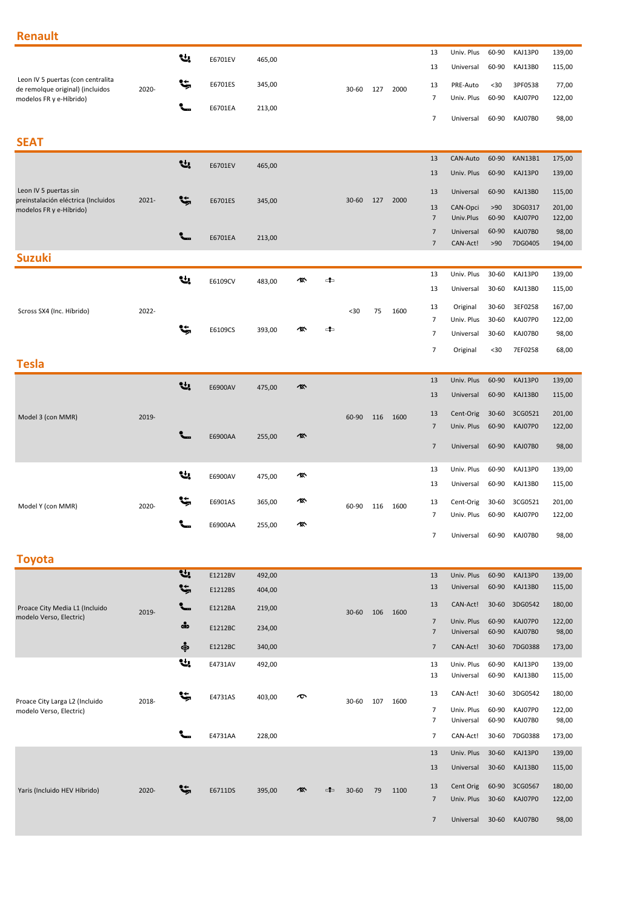### **Renault**

|                                                             |          | 낸              | E6701EV | 465,00 |    |    |           |     |      | 13                   | Univ. Plus              | 60-90          | KAJ13P0            | 139,00           |
|-------------------------------------------------------------|----------|----------------|---------|--------|----|----|-----------|-----|------|----------------------|-------------------------|----------------|--------------------|------------------|
|                                                             |          |                |         |        |    |    |           |     |      | 13                   | Universal               | 60-90          | KAJ13B0            | 115,00           |
| Leon IV 5 puertas (con centralita                           |          | ۹ŧ,            | E6701ES | 345,00 |    |    |           |     |      | 13                   | PRE-Auto                | $30$           | 3PF0538            | 77,00            |
| de remolque original) (incluidos<br>modelos FR y e-Híbrido) | 2020-    |                |         |        |    |    | $30 - 60$ | 127 | 2000 | $\overline{7}$       | Univ. Plus              | 60-90          | KAJ07P0            | 122,00           |
|                                                             |          |                | E6701EA | 213,00 |    |    |           |     |      |                      |                         |                |                    |                  |
|                                                             |          |                |         |        |    |    |           |     |      | $\overline{7}$       | Universal               | 60-90          | KAJ07B0            | 98,00            |
|                                                             |          |                |         |        |    |    |           |     |      |                      |                         |                |                    |                  |
| <b>SEAT</b>                                                 |          |                |         |        |    |    |           |     |      |                      |                         |                |                    |                  |
|                                                             |          | 낸              | E6701EV | 465,00 |    |    |           |     |      | 13                   | CAN-Auto                | 60-90          | KAN13B1            | 175,00           |
|                                                             |          |                |         |        |    |    |           |     |      | 13                   | Univ. Plus              | 60-90          | KAJ13P0            | 139,00           |
| Leon IV 5 puertas sin                                       |          |                |         |        |    |    |           |     |      | 13                   | Universal               | 60-90          | KAJ13B0            | 115,00           |
| preinstalación eléctrica (Incluidos                         | $2021 -$ | ۴,             | E6701ES | 345,00 |    |    | $30 - 60$ | 127 | 2000 |                      |                         |                |                    |                  |
| modelos FR y e-Híbrido)                                     |          |                |         |        |    |    |           |     |      | 13<br>$\overline{7}$ | CAN-Opci<br>Univ.Plus   | >90<br>60-90   | 3DG0317<br>KAJ07P0 | 201,00<br>122,00 |
|                                                             |          |                |         |        |    |    |           |     |      | $\overline{7}$       | Universal               | 60-90          | KAJ07B0            | 98,00            |
|                                                             |          |                | E6701EA | 213,00 |    |    |           |     |      | $\overline{7}$       | CAN-Act!                | >90            | 7DG0405            | 194,00           |
| <b>Suzuki</b>                                               |          |                |         |        |    |    |           |     |      |                      |                         |                |                    |                  |
|                                                             |          |                |         |        |    |    |           |     |      | 13                   | Univ. Plus              | 30-60          | KAJ13P0            | 139,00           |
|                                                             |          | 낸              | E6109CV | 483,00 | '® | 4  |           |     |      | 13                   | Universal               | 30-60          | KAJ13B0            |                  |
|                                                             |          |                |         |        |    |    |           |     |      |                      |                         |                |                    | 115,00           |
| Scross SX4 (Inc. Híbrido)                                   | 2022-    |                |         |        |    |    | $30$      | 75  | 1600 | 13                   | Original                | 30-60          | 3EF0258            | 167,00           |
|                                                             |          | Ŀ,             |         |        | ⁄፠ | 4  |           |     |      | $\overline{7}$       | Univ. Plus              | 30-60          | KAJ07P0            | 122,00           |
|                                                             |          |                | E6109CS | 393,00 |    |    |           |     |      | $\overline{7}$       | Universal               | 30-60          | KAJ07B0            | 98,00            |
|                                                             |          |                |         |        |    |    |           |     |      | $\overline{7}$       | Original                | $30$           | 7EF0258            | 68,00            |
| <b>Tesla</b>                                                |          |                |         |        |    |    |           |     |      |                      |                         |                |                    |                  |
|                                                             |          |                |         |        |    |    |           |     |      | 13                   | Univ. Plus              | 60-90          | KAJ13P0            | 139,00           |
|                                                             |          | 낸.             | E6900AV | 475,00 | 今  |    |           |     |      | 13                   | Universal               | 60-90          | KAJ13B0            | 115,00           |
|                                                             |          |                |         |        |    |    |           |     |      |                      |                         |                |                    |                  |
| Model 3 (con MMR)                                           | 2019-    |                |         |        |    |    | 60-90     | 116 | 1600 | 13                   | Cent-Orig               | $30 - 60$      | 3CG0521            | 201,00           |
|                                                             |          |                | E6900AA | 255,00 | 硺  |    |           |     |      | $\overline{7}$       | Univ. Plus              | 60-90          | KAJ07P0            | 122,00           |
|                                                             |          |                |         |        |    |    |           |     |      | $\overline{7}$       | Universal               | 60-90          | KAJ07B0            | 98,00            |
|                                                             |          |                |         |        |    |    |           |     |      |                      |                         |                |                    |                  |
|                                                             |          | ų,             | E6900AV | 475,00 | 硺  |    |           |     |      | 13                   | Univ. Plus              | 60-90          | KAJ13P0            | 139,00           |
|                                                             |          |                |         |        |    |    |           |     |      | 13                   | Universal               | 60-90          | KAJ13B0            | 115,00           |
|                                                             |          | <b>پ</b>       | E6901AS | 365,00 | 硺  |    |           |     |      | 13                   | Cent-Orig               | 30-60          | 3CG0521            | 201,00           |
| Model Y (con MMR)                                           | 2020-    |                |         |        |    |    | 60-90     | 116 | 1600 | $\overline{7}$       | Univ. Plus              | 60-90          | KAJ07P0            | 122,00           |
|                                                             |          |                | E6900AA | 255,00 | 硺  |    |           |     |      |                      |                         |                |                    |                  |
|                                                             |          |                |         |        |    |    |           |     |      | $\overline{7}$       | Universal               |                | 60-90 KAJ07B0      | 98,00            |
| <b>Toyota</b>                                               |          |                |         |        |    |    |           |     |      |                      |                         |                |                    |                  |
|                                                             |          | $\mathbf{v}_i$ |         |        |    |    |           |     |      |                      |                         |                |                    |                  |
|                                                             |          |                | E1212BV | 492,00 |    |    |           |     |      | 13<br>13             | Univ. Plus<br>Universal | 60-90<br>60-90 | KAJ13P0<br>KAJ13B0 | 139,00<br>115,00 |
|                                                             |          | t,             | E1212BS | 404,00 |    |    |           |     |      |                      |                         |                |                    |                  |
| Proace City Media L1 (Incluido                              | 2019-    |                | E1212BA | 219,00 |    |    | $30 - 60$ | 106 | 1600 | 13                   | CAN-Act!                | $30 - 60$      | 3DG0542            | 180,00           |
| modelo Verso, Electric)                                     |          | dip            | E1212BC | 234,00 |    |    |           |     |      | $7\overline{ }$      | Univ. Plus              | 60-90          | KAJ07P0            | 122,00           |
|                                                             |          |                |         |        |    |    |           |     |      | $\overline{7}$       | Universal               | 60-90          | KAJ07B0            | 98,00            |
|                                                             |          | ஒ்             | E1212BC | 340,00 |    |    |           |     |      | $7\overline{ }$      | CAN-Act!                | $30 - 60$      | 7DG0388            | 173,00           |
|                                                             |          | ų,             | E4731AV | 492,00 |    |    |           |     |      | 13                   | Univ. Plus              | 60-90          | KAJ13P0            | 139,00           |
|                                                             |          |                |         |        |    |    |           |     |      | 13                   | Universal               | 60-90          | KAJ13B0            | 115,00           |
|                                                             |          | Ŀ,             | E4731AS | 403,00 | ᠊ᠥ |    |           |     |      | 13                   | CAN-Act!                | 30-60          | 3DG0542            | 180,00           |
| Proace City Larga L2 (Incluido                              | 2018-    |                |         |        |    |    | 30-60     | 107 | 1600 | $\overline{7}$       | Univ. Plus              | 60-90          | KAJ07P0            | 122,00           |
| modelo Verso, Electric)                                     |          |                |         |        |    |    |           |     |      | $\overline{7}$       | Universal               | 60-90          | KAJ07B0            | 98,00            |
|                                                             |          |                | E4731AA | 228,00 |    |    |           |     |      | 7                    | CAN-Act!                | $30 - 60$      | 7DG0388            | 173,00           |
|                                                             |          |                |         |        |    |    |           |     |      |                      |                         |                |                    |                  |
|                                                             |          |                |         |        |    |    |           |     |      | 13                   | Univ. Plus              | $30 - 60$      | KAJ13P0            | 139,00           |
|                                                             |          |                |         |        |    |    |           |     |      | 13                   | Universal               | $30 - 60$      | KAJ13B0            | 115,00           |
| Yaris (Incluido HEV Híbrido)                                | 2020-    |                | E6711DS | 395,00 | ☎  | ⊄⊐ | $30 - 60$ | 79  | 1100 | 13                   | Cent Orig               | 60-90          | 3CG0567            | 180,00           |
|                                                             |          |                |         |        |    |    |           |     |      | $7\overline{ }$      | Univ. Plus              | $30 - 60$      | KAJ07P0            | 122,00           |
|                                                             |          |                |         |        |    |    |           |     |      | $\overline{7}$       | Universal               | $30 - 60$      | KAJ07B0            | 98,00            |
|                                                             |          |                |         |        |    |    |           |     |      |                      |                         |                |                    |                  |
|                                                             |          |                |         |        |    |    |           |     |      |                      |                         |                |                    |                  |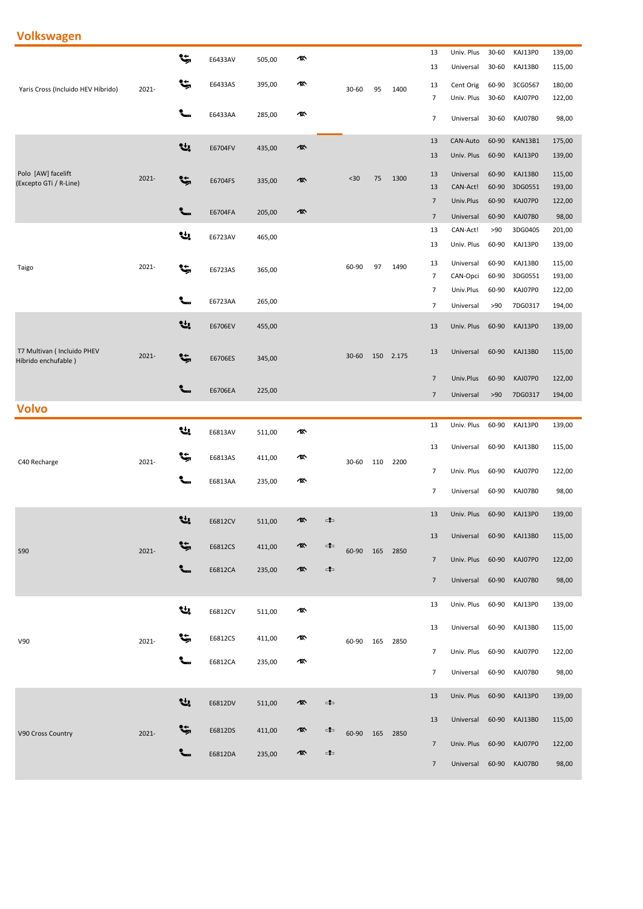## **Volkswagen**

|                                                    |          | Ŀ,       |         |        | 像 |               |           |     |       | 13             | Univ. Plus              | 30-60          | KAJ13P0            | 139,00          |
|----------------------------------------------------|----------|----------|---------|--------|---|---------------|-----------|-----|-------|----------------|-------------------------|----------------|--------------------|-----------------|
|                                                    |          |          | E6433AV | 505,00 |   |               |           |     |       | 13             | Universal               | 30-60          | KAJ13B0            | 115,00          |
| Yaris Cross (Incluido HEV Híbrido)                 | 2021-    | ۴,       | E6433AS | 395,00 | 像 |               | 30-60     | 95  | 1400  | 13             | Cent Orig               | 60-90          | 3CG0567            | 180,00          |
|                                                    |          |          |         |        |   |               |           |     |       | $\overline{7}$ | Univ. Plus              | 30-60          | KAJ07P0            | 122,00          |
|                                                    |          | ╰╴       | E6433AA | 285,00 | 硺 |               |           |     |       | $\overline{7}$ | Universal               | 30-60          | KAJ07B0            | 98,00           |
|                                                    |          | Ų,       | E6704FV | 435,00 | 像 |               |           |     |       | 13             | CAN-Auto                | 60-90          | KAN13B1            | 175,00          |
|                                                    |          |          |         |        |   |               |           |     |       | 13             | Univ. Plus              | 60-90          | KAJ13P0            | 139,00          |
| Polo [AW] facelift                                 | 2021-    | t,       |         |        | 像 |               | $30$      | 75  | 1300  | 13             | Universal               | 60-90          | KAJ13B0            | 115,00          |
| (Excepto GTi / R-Line)                             |          |          | E6704FS | 335,00 |   |               |           |     |       | 13             | CAN-Act!                | 60-90          | 3DG0551            | 193,00          |
|                                                    |          | ╰╴       |         |        |   |               |           |     |       | $\overline{7}$ | Univ.Plus               | 60-90          | KAJ07P0            | 122,00          |
|                                                    |          |          | E6704FA | 205,00 | 像 |               |           |     |       | $\overline{7}$ | Universal               | 60-90          | KAJ07B0            | 98,00           |
|                                                    |          | Ų,       | E6723AV | 465,00 |   |               |           |     |       | 13             | CAN-Act!                | >90            | 3DG0405            | 201,00          |
|                                                    |          |          |         |        |   |               |           |     |       | 13             | Univ. Plus              | 60-90          | KAJ13P0            | 139,00          |
| Taigo                                              | 2021-    | Ŀ,       | E6723AS | 365,00 |   |               | 60-90     | 97  | 1490  | 13             | Universal               | 60-90          | KAJ13B0            | 115,00          |
|                                                    |          |          |         |        |   |               |           |     |       | $\overline{7}$ | CAN-Opci                | 60-90          | 3DG0551            | 193,00          |
|                                                    |          |          | E6723AA | 265,00 |   |               |           |     |       | $\overline{7}$ | Univ.Plus               | 60-90          | KAJ07P0            | 122,00          |
|                                                    |          |          |         |        |   |               |           |     |       | $\overline{7}$ | Universal               | >90            | 7DG0317            | 194,00          |
|                                                    |          | Ų,       | E6706EV | 455,00 |   |               |           |     |       | 13             | Univ. Plus              | 60-90          | KAJ13P0            | 139,00          |
|                                                    |          |          |         |        |   |               |           |     |       |                |                         |                |                    |                 |
| T7 Multivan ( Incluido PHEV<br>Híbrido enchufable) | $2021 -$ | ۴,       | E6706ES | 345,00 |   |               | $30 - 60$ | 150 | 2.175 | 13             | Universal               | 60-90          | KAJ13B0            | 115,00          |
|                                                    |          |          |         |        |   |               |           |     |       | $\overline{7}$ | Univ.Plus               | 60-90          | KAJ07P0            | 122,00          |
|                                                    |          |          | E6706EA | 225,00 |   |               |           |     |       | $\overline{7}$ | Universal               | >90            | 7DG0317            | 194,00          |
| <b>Volvo</b>                                       |          |          |         |        |   |               |           |     |       |                |                         |                |                    |                 |
|                                                    |          |          |         |        |   |               |           |     |       |                |                         |                |                    |                 |
|                                                    |          |          |         |        |   |               |           |     |       | 13             | Univ. Plus              | 60-90          | KAJ13P0            | 139,00          |
|                                                    |          | ų,       | E6813AV | 511,00 | 硺 |               |           |     |       |                |                         |                |                    |                 |
|                                                    |          | ٩ţ,      | E6813AS | 411,00 | 像 |               |           |     |       | 13             | Universal               | 60-90          | KAJ13B0            | 115,00          |
| C40 Recharge                                       | 2021-    |          |         |        |   |               | 30-60     | 110 | 2200  | 7              | Univ. Plus              | 60-90          | KAJ07P0            | 122,00          |
|                                                    |          |          | E6813AA | 235,00 | 像 |               |           |     |       | $\overline{7}$ | Universal               | 60-90          | KAJ07B0            |                 |
|                                                    |          |          |         |        |   |               |           |     |       |                |                         |                |                    | 98,00           |
|                                                    |          | 낸        | E6812CV | 511,00 | 像 | $\Rightarrow$ |           |     |       | 13             | Univ. Plus              | 60-90          | KAJ13P0            | 139,00          |
|                                                    |          |          |         |        |   |               |           |     |       | 13             | Universal               | 60-90          | KAJ13B0            | 115,00          |
| <b>S90</b>                                         | 2021-    | ₩        | E6812CS | 411,00 | 像 | ⊄⊐            | 60-90 165 |     | 2850  |                |                         |                |                    |                 |
|                                                    |          |          |         |        | 凰 | $-1$          |           |     |       | $\overline{7}$ | Univ. Plus              | 60-90          | KAJ07P0            | 122,00          |
|                                                    |          |          | E6812CA | 235,00 |   |               |           |     |       | $\overline{7}$ | Universal               | 60-90          | KAJ07B0            | 98,00           |
|                                                    |          |          |         |        |   |               |           |     |       |                |                         |                |                    |                 |
|                                                    |          | 낸        | E6812CV | 511,00 | 像 |               |           |     |       | 13             | Univ. Plus              | 60-90          | KAJ13P0            | 139,00          |
|                                                    |          |          |         |        |   |               |           |     |       | 13             | Universal               | 60-90          | KAJ13B0            | 115,00          |
| V90                                                | 2021-    | ۴,       | E6812CS | 411,00 | 像 |               | 60-90     | 165 | 2850  |                |                         |                |                    |                 |
|                                                    |          |          | E6812CA | 235,00 | 硺 |               |           |     |       | 7              | Univ. Plus              | 60-90          | KAJ07P0            | 122,00          |
|                                                    |          |          |         |        |   |               |           |     |       | $\overline{7}$ | Universal               | 60-90          | KAJ07B0            | 98,00           |
|                                                    |          |          |         |        |   |               |           |     |       | 13             | Univ. Plus              | 60-90          | KAJ13P0            | 139,00          |
|                                                    |          | Ų,       | E6812DV | 511,00 | 像 | ⊄⊐            |           |     |       |                |                         |                |                    |                 |
|                                                    |          |          |         |        |   |               |           |     |       | 13             | Universal               | 60-90          | KAJ13B0            | 115,00          |
| V90 Cross Country                                  | 2021-    | <b>پ</b> | E6812DS | 411,00 | 像 | ⊄⊐            | 60-90     | 165 | 2850  | $\overline{7}$ |                         |                |                    |                 |
|                                                    |          |          | E6812DA | 235,00 | 凰 | $\Rightarrow$ |           |     |       | $\overline{7}$ | Univ. Plus<br>Universal | 60-90<br>60-90 | KAJ07P0<br>KAJ07B0 | 122,00<br>98,00 |